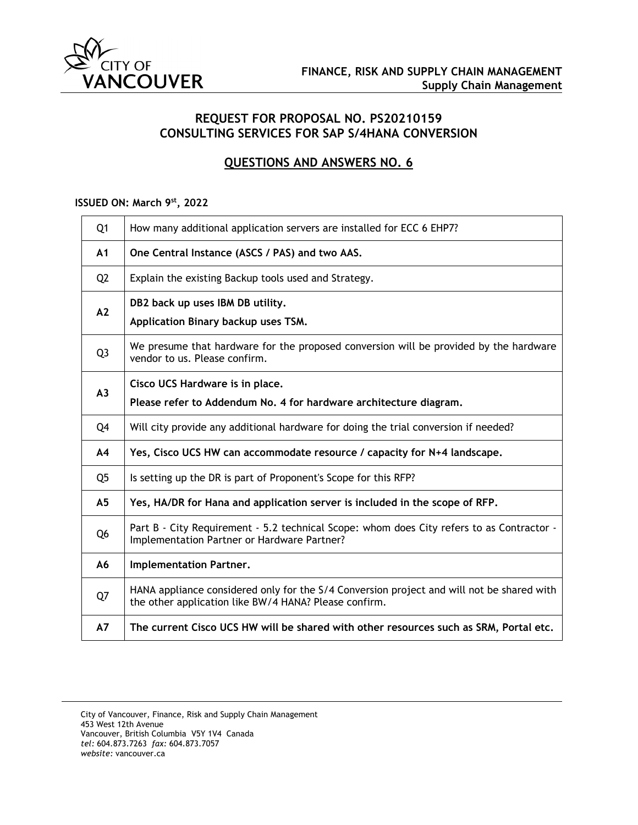

## **REQUEST FOR PROPOSAL NO. PS20210159 CONSULTING SERVICES FOR SAP S/4HANA CONVERSION**

# **QUESTIONS AND ANSWERS NO. 6**

### **ISSUED ON: March 9st, 2022**

| Q <sub>1</sub> | How many additional application servers are installed for ECC 6 EHP7?                                                                              |
|----------------|----------------------------------------------------------------------------------------------------------------------------------------------------|
| A1             | One Central Instance (ASCS / PAS) and two AAS.                                                                                                     |
| Q <sub>2</sub> | Explain the existing Backup tools used and Strategy.                                                                                               |
| A2             | DB2 back up uses IBM DB utility.<br>Application Binary backup uses TSM.                                                                            |
| Q <sub>3</sub> | We presume that hardware for the proposed conversion will be provided by the hardware<br>vendor to us. Please confirm.                             |
| A <sub>3</sub> | Cisco UCS Hardware is in place.<br>Please refer to Addendum No. 4 for hardware architecture diagram.                                               |
| Q4             | Will city provide any additional hardware for doing the trial conversion if needed?                                                                |
| A <sub>4</sub> | Yes, Cisco UCS HW can accommodate resource / capacity for N+4 landscape.                                                                           |
| Q <sub>5</sub> | Is setting up the DR is part of Proponent's Scope for this RFP?                                                                                    |
| A <sub>5</sub> | Yes, HA/DR for Hana and application server is included in the scope of RFP.                                                                        |
| Q <sub>6</sub> | Part B - City Requirement - 5.2 technical Scope: whom does City refers to as Contractor -<br>Implementation Partner or Hardware Partner?           |
| A6             | Implementation Partner.                                                                                                                            |
| Q7             | HANA appliance considered only for the S/4 Conversion project and will not be shared with<br>the other application like BW/4 HANA? Please confirm. |
| A7             | The current Cisco UCS HW will be shared with other resources such as SRM, Portal etc.                                                              |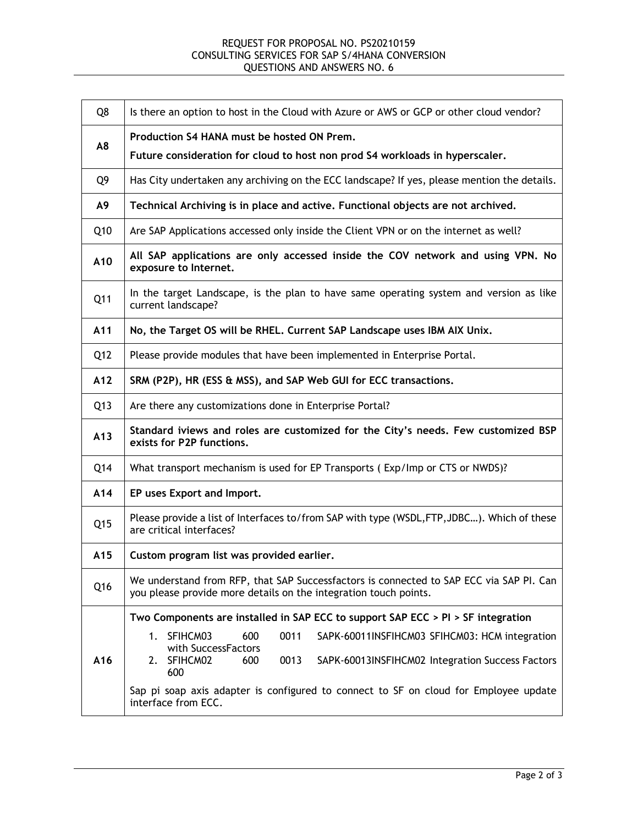### REQUEST FOR PROPOSAL NO. PS20210159 CONSULTING SERVICES FOR SAP S/4HANA CONVERSION QUESTIONS AND ANSWERS NO. 6

| Q8              | Is there an option to host in the Cloud with Azure or AWS or GCP or other cloud vendor?                                                                                                            |
|-----------------|----------------------------------------------------------------------------------------------------------------------------------------------------------------------------------------------------|
| A8              | Production S4 HANA must be hosted ON Prem.<br>Future consideration for cloud to host non prod S4 workloads in hyperscaler.                                                                         |
| Q9              | Has City undertaken any archiving on the ECC landscape? If yes, please mention the details.                                                                                                        |
| A9              | Technical Archiving is in place and active. Functional objects are not archived.                                                                                                                   |
| Q10             | Are SAP Applications accessed only inside the Client VPN or on the internet as well?                                                                                                               |
| A10             | All SAP applications are only accessed inside the COV network and using VPN. No<br>exposure to Internet.                                                                                           |
| Q11             | In the target Landscape, is the plan to have same operating system and version as like<br>current landscape?                                                                                       |
| A11             | No, the Target OS will be RHEL. Current SAP Landscape uses IBM AIX Unix.                                                                                                                           |
| Q12             | Please provide modules that have been implemented in Enterprise Portal.                                                                                                                            |
| A12             | SRM (P2P), HR (ESS & MSS), and SAP Web GUI for ECC transactions.                                                                                                                                   |
| Q13             | Are there any customizations done in Enterprise Portal?                                                                                                                                            |
| A13             | Standard iviews and roles are customized for the City's needs. Few customized BSP<br>exists for P2P functions.                                                                                     |
| Q14             | What transport mechanism is used for EP Transports (Exp/Imp or CTS or NWDS)?                                                                                                                       |
| A14             | EP uses Export and Import.                                                                                                                                                                         |
| Q <sub>15</sub> | Please provide a list of Interfaces to/from SAP with type (WSDL, FTP, JDBC). Which of these<br>are critical interfaces?                                                                            |
| A15             | Custom program list was provided earlier.                                                                                                                                                          |
| Q16             | We understand from RFP, that SAP Successfactors is connected to SAP ECC via SAP PI. Can<br>you please provide more details on the integration touch points.                                        |
|                 | Two Components are installed in SAP ECC to support SAP ECC > PI > SF integration                                                                                                                   |
| A16             | SFIHCM03<br>600<br>0011<br>1.<br>SAPK-60011INSFIHCM03 SFIHCM03: HCM integration<br>with SuccessFactors<br>SFIHCM02<br>0013<br>600<br>SAPK-60013INSFIHCM02 Integration Success Factors<br>2.<br>600 |
|                 | Sap pi soap axis adapter is configured to connect to SF on cloud for Employee update<br>interface from ECC.                                                                                        |